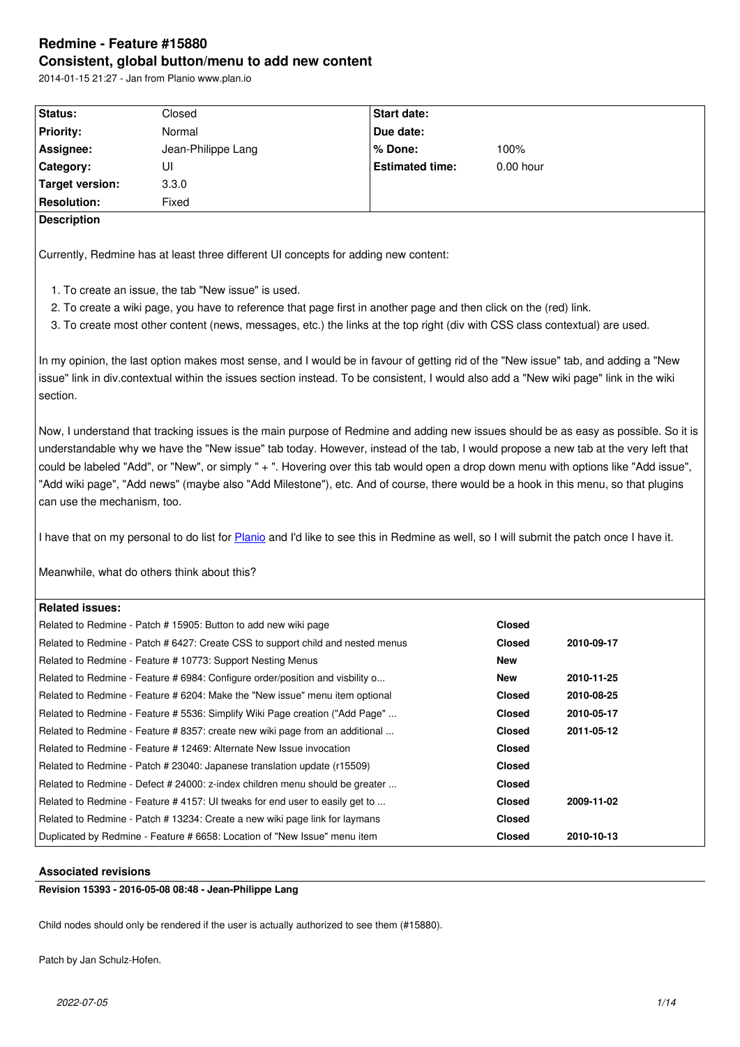#### **Consistent, global button/menu to add new content**

|                             | 2014-01-15 21:27 - Jan from Planio www.plan.io                                      |                                                                                                                                                                                                                                                                                                                                                                                                                                                                                                                                                        |               |            |
|-----------------------------|-------------------------------------------------------------------------------------|--------------------------------------------------------------------------------------------------------------------------------------------------------------------------------------------------------------------------------------------------------------------------------------------------------------------------------------------------------------------------------------------------------------------------------------------------------------------------------------------------------------------------------------------------------|---------------|------------|
| Status:                     | Closed                                                                              | Start date:                                                                                                                                                                                                                                                                                                                                                                                                                                                                                                                                            |               |            |
| <b>Priority:</b>            | Normal                                                                              | Due date:                                                                                                                                                                                                                                                                                                                                                                                                                                                                                                                                              |               |            |
| Assignee:                   | Jean-Philippe Lang                                                                  | % Done:                                                                                                                                                                                                                                                                                                                                                                                                                                                                                                                                                | 100%          |            |
| Category:                   | UI                                                                                  | <b>Estimated time:</b>                                                                                                                                                                                                                                                                                                                                                                                                                                                                                                                                 | 0.00 hour     |            |
| <b>Target version:</b>      | 3.3.0                                                                               |                                                                                                                                                                                                                                                                                                                                                                                                                                                                                                                                                        |               |            |
| <b>Resolution:</b>          | Fixed                                                                               |                                                                                                                                                                                                                                                                                                                                                                                                                                                                                                                                                        |               |            |
| <b>Description</b>          |                                                                                     |                                                                                                                                                                                                                                                                                                                                                                                                                                                                                                                                                        |               |            |
|                             | Currently, Redmine has at least three different UI concepts for adding new content: |                                                                                                                                                                                                                                                                                                                                                                                                                                                                                                                                                        |               |            |
|                             | 1. To create an issue, the tab "New issue" is used.                                 |                                                                                                                                                                                                                                                                                                                                                                                                                                                                                                                                                        |               |            |
|                             |                                                                                     | 2. To create a wiki page, you have to reference that page first in another page and then click on the (red) link.                                                                                                                                                                                                                                                                                                                                                                                                                                      |               |            |
|                             |                                                                                     | 3. To create most other content (news, messages, etc.) the links at the top right (div with CSS class contextual) are used.                                                                                                                                                                                                                                                                                                                                                                                                                            |               |            |
| section.                    |                                                                                     | In my opinion, the last option makes most sense, and I would be in favour of getting rid of the "New issue" tab, and adding a "New<br>issue" link in div.contextual within the issues section instead. To be consistent, I would also add a "New wiki page" link in the wiki                                                                                                                                                                                                                                                                           |               |            |
| can use the mechanism, too. |                                                                                     | Now, I understand that tracking issues is the main purpose of Redmine and adding new issues should be as easy as possible. So it is<br>understandable why we have the "New issue" tab today. However, instead of the tab, I would propose a new tab at the very left that<br>could be labeled "Add", or "New", or simply " + ". Hovering over this tab would open a drop down menu with options like "Add issue",<br>"Add wiki page", "Add news" (maybe also "Add Milestone"), etc. And of course, there would be a hook in this menu, so that plugins |               |            |
|                             |                                                                                     | I have that on my personal to do list for Planio and I'd like to see this in Redmine as well, so I will submit the patch once I have it.                                                                                                                                                                                                                                                                                                                                                                                                               |               |            |
|                             | Meanwhile, what do others think about this?                                         |                                                                                                                                                                                                                                                                                                                                                                                                                                                                                                                                                        |               |            |
| <b>Related issues:</b>      |                                                                                     |                                                                                                                                                                                                                                                                                                                                                                                                                                                                                                                                                        |               |            |
|                             | Related to Redmine - Patch # 15905: Button to add new wiki page                     |                                                                                                                                                                                                                                                                                                                                                                                                                                                                                                                                                        | <b>Closed</b> |            |
|                             | Related to Redmine - Patch # 6427: Create CSS to support child and nested menus     |                                                                                                                                                                                                                                                                                                                                                                                                                                                                                                                                                        | <b>Closed</b> | 2010-09-17 |
|                             | Related to Redmine - Feature # 10773: Support Nesting Menus                         |                                                                                                                                                                                                                                                                                                                                                                                                                                                                                                                                                        | New           |            |
|                             | Related to Redmine - Feature # 6984: Configure order/position and visbility o       |                                                                                                                                                                                                                                                                                                                                                                                                                                                                                                                                                        | New           | 2010-11-25 |
|                             |                                                                                     |                                                                                                                                                                                                                                                                                                                                                                                                                                                                                                                                                        |               |            |
|                             | Related to Redmine - Feature # 6204: Make the "New issue" menu item optional        |                                                                                                                                                                                                                                                                                                                                                                                                                                                                                                                                                        | <b>Closed</b> | 2010-08-25 |
|                             | Related to Redmine - Feature # 5536: Simplify Wiki Page creation ("Add Page"        |                                                                                                                                                                                                                                                                                                                                                                                                                                                                                                                                                        | <b>Closed</b> | 2010-05-17 |
|                             | Related to Redmine - Feature # 8357: create new wiki page from an additional        |                                                                                                                                                                                                                                                                                                                                                                                                                                                                                                                                                        | <b>Closed</b> | 2011-05-12 |
|                             | Related to Redmine - Feature # 12469: Alternate New Issue invocation                |                                                                                                                                                                                                                                                                                                                                                                                                                                                                                                                                                        | <b>Closed</b> |            |
|                             | Related to Redmine - Patch # 23040: Japanese translation update (r15509)            |                                                                                                                                                                                                                                                                                                                                                                                                                                                                                                                                                        | <b>Closed</b> |            |
|                             | Related to Redmine - Defect # 24000: z-index children menu should be greater        |                                                                                                                                                                                                                                                                                                                                                                                                                                                                                                                                                        | <b>Closed</b> |            |
|                             | Related to Redmine - Feature # 4157: UI tweaks for end user to easily get to        |                                                                                                                                                                                                                                                                                                                                                                                                                                                                                                                                                        | <b>Closed</b> | 2009-11-02 |
|                             | Related to Redmine - Patch # 13234: Create a new wiki page link for laymans         |                                                                                                                                                                                                                                                                                                                                                                                                                                                                                                                                                        | <b>Closed</b> |            |

# **Associated revisions**

**Revision 15393 - 2016-05-08 08:48 - Jean-Philippe Lang**

Child nodes should only be rendered if the user is actually authorized to see them (#15880).

Patch by Jan Schulz-Hofen.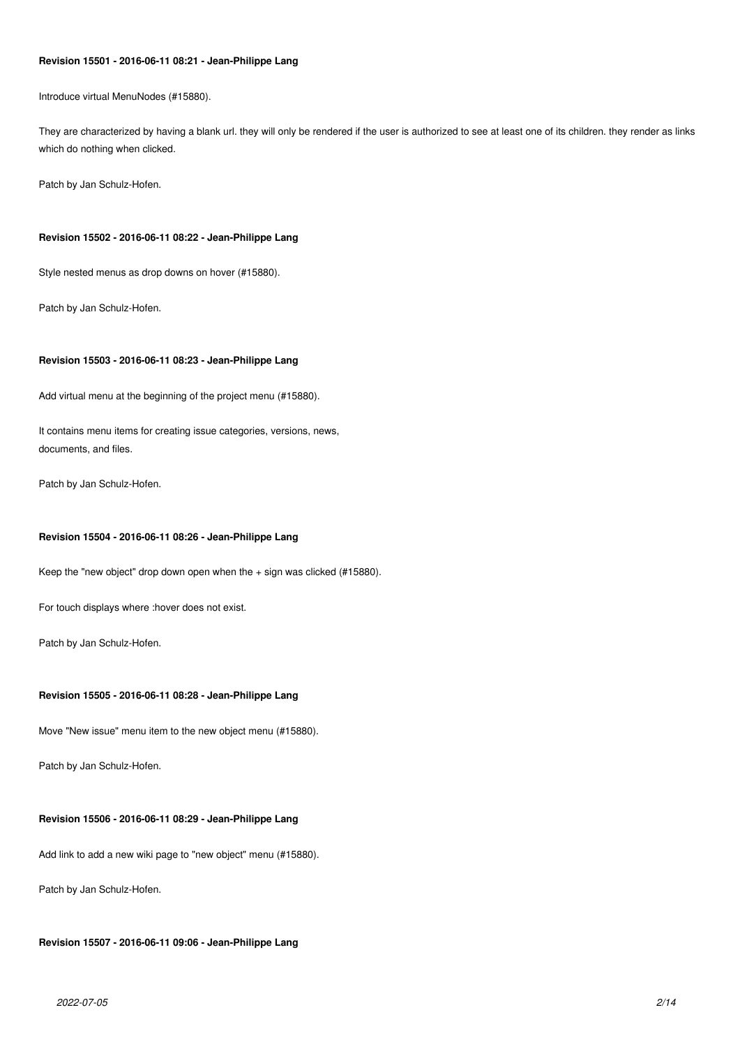# **Revision 15501 - 2016-06-11 08:21 - Jean-Philippe Lang**

Introduce virtual MenuNodes (#15880).

They are characterized by having a blank url. they will only be rendered if the user is authorized to see at least one of its children. they render as links which do nothing when clicked.

Patch by Jan Schulz-Hofen.

### **Revision 15502 - 2016-06-11 08:22 - Jean-Philippe Lang**

Style nested menus as drop downs on hover (#15880).

Patch by Jan Schulz-Hofen.

# **Revision 15503 - 2016-06-11 08:23 - Jean-Philippe Lang**

Add virtual menu at the beginning of the project menu (#15880).

It contains menu items for creating issue categories, versions, news, documents, and files.

Patch by Jan Schulz-Hofen.

### **Revision 15504 - 2016-06-11 08:26 - Jean-Philippe Lang**

Keep the "new object" drop down open when the + sign was clicked (#15880).

For touch displays where :hover does not exist.

Patch by Jan Schulz-Hofen.

# **Revision 15505 - 2016-06-11 08:28 - Jean-Philippe Lang**

Move "New issue" menu item to the new object menu (#15880).

Patch by Jan Schulz-Hofen.

### **Revision 15506 - 2016-06-11 08:29 - Jean-Philippe Lang**

Add link to add a new wiki page to "new object" menu (#15880).

Patch by Jan Schulz-Hofen.

### **Revision 15507 - 2016-06-11 09:06 - Jean-Philippe Lang**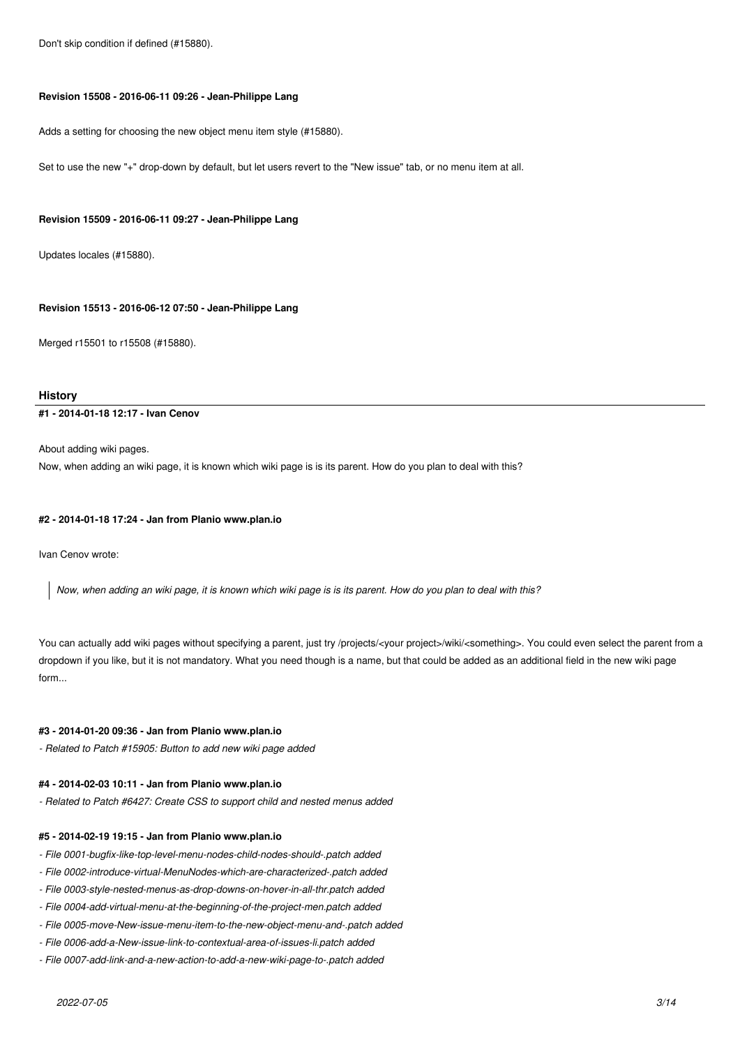Don't skip condition if defined (#15880).

#### **Revision 15508 - 2016-06-11 09:26 - Jean-Philippe Lang**

Adds a setting for choosing the new object menu item style (#15880).

Set to use the new "+" drop-down by default, but let users revert to the "New issue" tab, or no menu item at all.

### **Revision 15509 - 2016-06-11 09:27 - Jean-Philippe Lang**

Updates locales (#15880).

# **Revision 15513 - 2016-06-12 07:50 - Jean-Philippe Lang**

Merged r15501 to r15508 (#15880).

# **History**

# **#1 - 2014-01-18 12:17 - Ivan Cenov**

About adding wiki pages.

Now, when adding an wiki page, it is known which wiki page is is its parent. How do you plan to deal with this?

#### **#2 - 2014-01-18 17:24 - Jan from Planio www.plan.io**

Ivan Cenov wrote:

*Now, when adding an wiki page, it is known which wiki page is is its parent. How do you plan to deal with this?*

You can actually add wiki pages without specifying a parent, just try /projects/<your project>/wiki/<something>. You could even select the parent from a dropdown if you like, but it is not mandatory. What you need though is a name, but that could be added as an additional field in the new wiki page form...

### **#3 - 2014-01-20 09:36 - Jan from Planio www.plan.io**

*- Related to Patch #15905: Button to add new wiki page added*

### **#4 - 2014-02-03 10:11 - Jan from Planio www.plan.io**

*- Related to Patch #6427: Create CSS to support child and nested menus added*

### **#5 - 2014-02-19 19:15 - Jan from Planio www.plan.io**

- *File 0001-bugfix-like-top-level-menu-nodes-child-nodes-should-.patch added*
- *File 0002-introduce-virtual-MenuNodes-which-are-characterized-.patch added*
- *File 0003-style-nested-menus-as-drop-downs-on-hover-in-all-thr.patch added*
- *File 0004-add-virtual-menu-at-the-beginning-of-the-project-men.patch added*
- *File 0005-move-New-issue-menu-item-to-the-new-object-menu-and-.patch added*
- *File 0006-add-a-New-issue-link-to-contextual-area-of-issues-li.patch added*
- *File 0007-add-link-and-a-new-action-to-add-a-new-wiki-page-to-.patch added*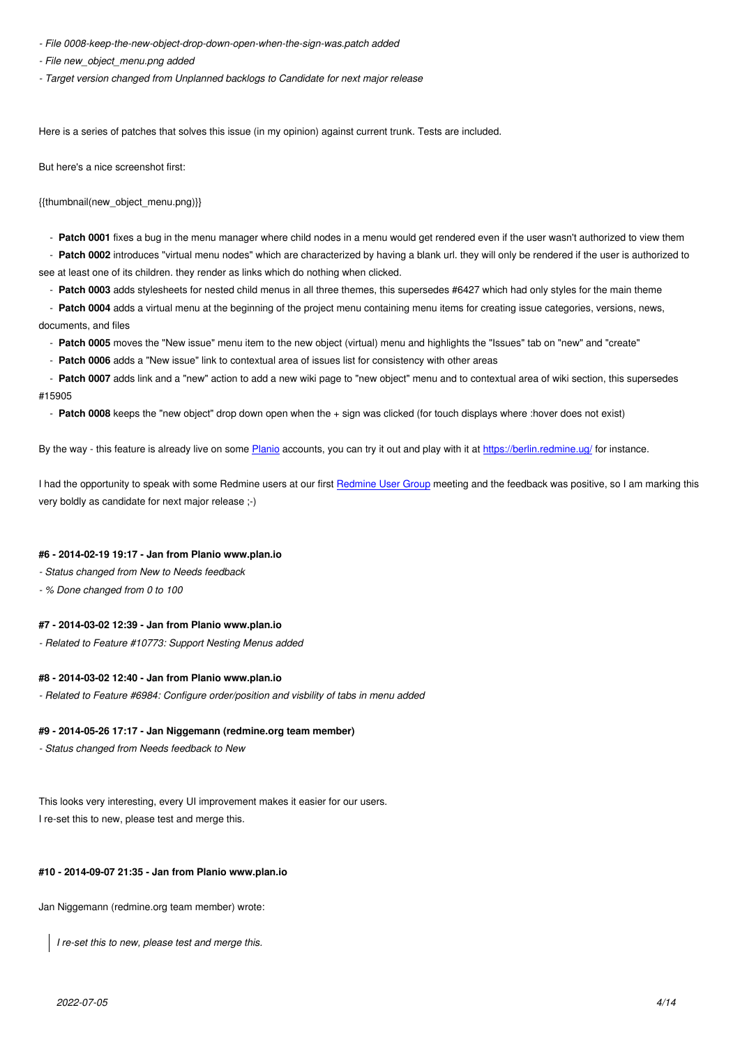*- File new\_object\_menu.png added*

*- Target version changed from Unplanned backlogs to Candidate for next major release*

Here is a series of patches that solves this issue (in my opinion) against current trunk. Tests are included.

But here's a nice screenshot first:

{{thumbnail(new\_object\_menu.png)}}

- **Patch 0001** fixes a bug in the menu manager where child nodes in a menu would get rendered even if the user wasn't authorized to view them
- **Patch 0002** introduces "virtual menu nodes" which are characterized by having a blank url. they will only be rendered if the user is authorized to see at least one of its children. they render as links which do nothing when clicked.
	- **Patch 0003** adds stylesheets for nested child menus in all three themes, this supersedes #6427 which had only styles for the main theme
- **Patch 0004** adds a virtual menu at the beginning of the project menu containing menu items for creating issue categories, versions, news, documents, and files
	- Patch 0005 moves the "New issue" menu item to the new object (virtual) menu and highlights the "Issues" tab on "new" and "create"
	- **Patch 0006** adds a "New issue" link to contextual area of issues list for consistency with other areas
- **Patch 0007** adds link and a "new" action to add a new wiki page to "new object" menu and to contextual area of wiki section, this supersedes #15905
	- **Patch 0008** keeps the "new object" drop down open when the + sign was clicked (for touch displays where :hover does not exist)

By the way - this feature is already live on some Planio accounts, you can try it out and play with it at https://berlin.redmine.ug/ for instance.

I had the opportunity to speak with some Redmine users at our first Redmine User Group meeting and the feedback was positive, so I am marking this very boldly as candidate for next major release ;[-\)](https://plan.io)

# **#6 - 2014-02-19 19:17 - Jan from Planio www.plan.io**

- *Status changed from New to Needs feedback*
- *% Done changed from 0 to 100*

### **#7 - 2014-03-02 12:39 - Jan from Planio www.plan.io**

*- Related to Feature #10773: Support Nesting Menus added*

### **#8 - 2014-03-02 12:40 - Jan from Planio www.plan.io**

*- Related to Feature #6984: Configure order/position and visbility of tabs in menu added*

#### **#9 - 2014-05-26 17:17 - Jan Niggemann (redmine.org team member)**

*- Status changed from Needs feedback to New*

This looks very interesting, every UI improvement makes it easier for our users. I re-set this to new, please test and merge this.

#### **#10 - 2014-09-07 21:35 - Jan from Planio www.plan.io**

Jan Niggemann (redmine.org team member) wrote:

*I re-set this to new, please test and merge this.*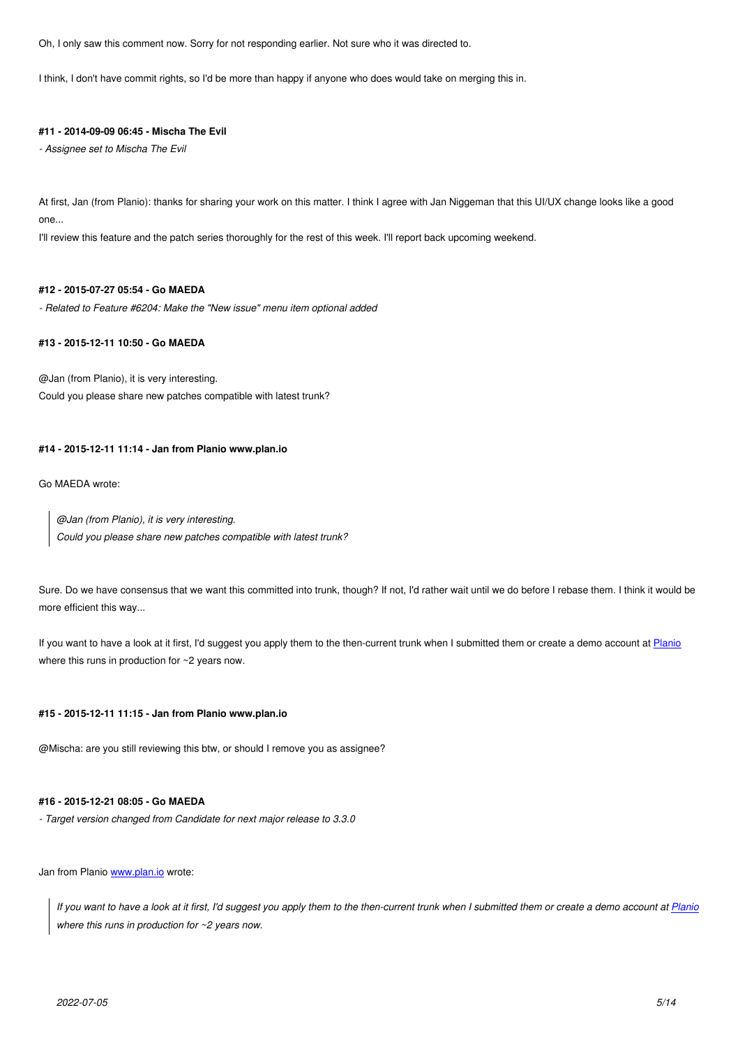I think, I don't have commit rights, so I'd be more than happy if anyone who does would take on merging this in.

### **#11 - 2014-09-09 06:45 - Mischa The Evil**

*- Assignee set to Mischa The Evil*

At first, Jan (from Planio): thanks for sharing your work on this matter. I think I agree with Jan Niggeman that this UI/UX change looks like a good one...

I'll review this feature and the patch series thoroughly for the rest of this week. I'll report back upcoming weekend.

### **#12 - 2015-07-27 05:54 - Go MAEDA**

*- Related to Feature #6204: Make the "New issue" menu item optional added*

# **#13 - 2015-12-11 10:50 - Go MAEDA**

@Jan (from Planio), it is very interesting. Could you please share new patches compatible with latest trunk?

#### **#14 - 2015-12-11 11:14 - Jan from Planio www.plan.io**

Go MAEDA wrote:

*@Jan (from Planio), it is very interesting. Could you please share new patches compatible with latest trunk?*

Sure. Do we have consensus that we want this committed into trunk, though? If not, I'd rather wait until we do before I rebase them. I think it would be more efficient this way...

If you want to have a look at it first, I'd suggest you apply them to the then-current trunk when I submitted them or create a demo account at Planio where this runs in production for ~2 years now.

### **#15 - 2015-12-11 11:15 - Jan from Planio www.plan.io**

@Mischa: are you still reviewing this btw, or should I remove you as assignee?

# **#16 - 2015-12-21 08:05 - Go MAEDA**

*- Target version changed from Candidate for next major release to 3.3.0*

Jan from Planio www.plan.io wrote:

*If you want to have a look at it first, I'd suggest you apply them to the then-current trunk when I submitted them or create a demo account at Planio where this r[uns in produc](http://www.plan.io)tion for ~2 years now.*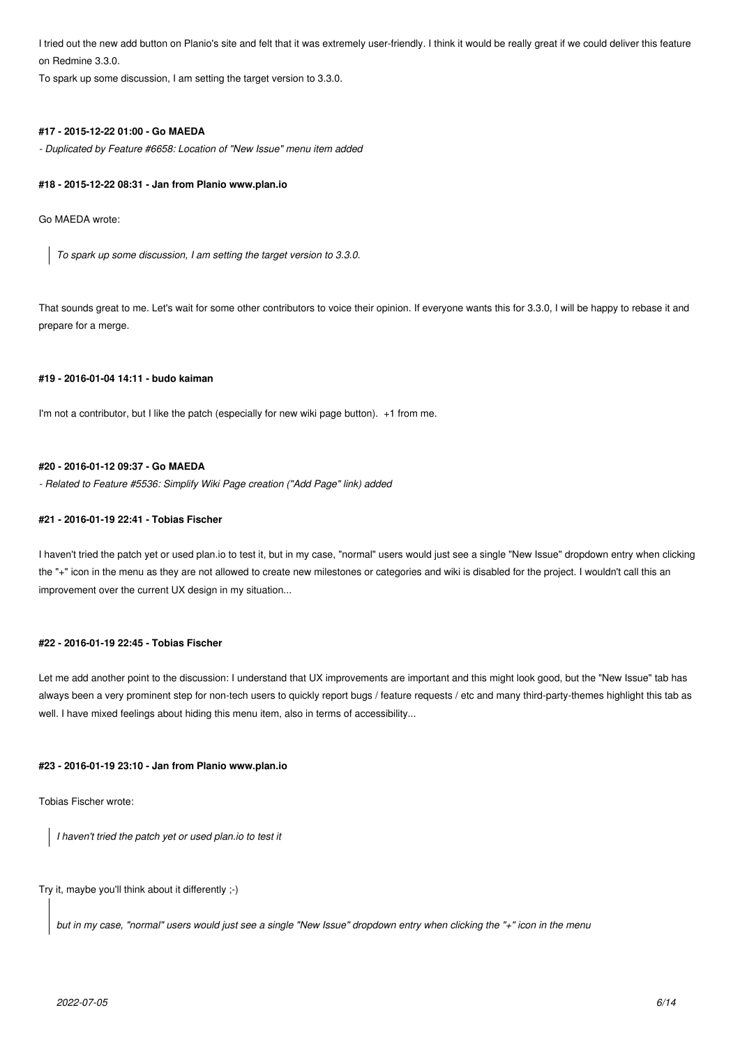I tried out the new add button on Planio's site and felt that it was extremely user-friendly. I think it would be really great if we could deliver this feature on Redmine 3.3.0.

To spark up some discussion, I am setting the target version to 3.3.0.

### **#17 - 2015-12-22 01:00 - Go MAEDA**

*- Duplicated by Feature #6658: Location of "New Issue" menu item added*

### **#18 - 2015-12-22 08:31 - Jan from Planio www.plan.io**

Go MAEDA wrote:

*To spark up some discussion, I am setting the target version to 3.3.0.*

That sounds great to me. Let's wait for some other contributors to voice their opinion. If everyone wants this for 3.3.0, I will be happy to rebase it and prepare for a merge.

# **#19 - 2016-01-04 14:11 - budo kaiman**

I'm not a contributor, but I like the patch (especially for new wiki page button). +1 from me.

# **#20 - 2016-01-12 09:37 - Go MAEDA**

*- Related to Feature #5536: Simplify Wiki Page creation ("Add Page" link) added*

### **#21 - 2016-01-19 22:41 - Tobias Fischer**

I haven't tried the patch yet or used plan.io to test it, but in my case, "normal" users would just see a single "New Issue" dropdown entry when clicking the "+" icon in the menu as they are not allowed to create new milestones or categories and wiki is disabled for the project. I wouldn't call this an improvement over the current UX design in my situation...

# **#22 - 2016-01-19 22:45 - Tobias Fischer**

Let me add another point to the discussion: I understand that UX improvements are important and this might look good, but the "New Issue" tab has always been a very prominent step for non-tech users to quickly report bugs / feature requests / etc and many third-party-themes highlight this tab as well. I have mixed feelings about hiding this menu item, also in terms of accessibility...

#### **#23 - 2016-01-19 23:10 - Jan from Planio www.plan.io**

Tobias Fischer wrote:

*I haven't tried the patch yet or used plan.io to test it*

Try it, maybe you'll think about it differently ;-)

*but in my case, "normal" users would just see a single "New Issue" dropdown entry when clicking the "+" icon in the menu*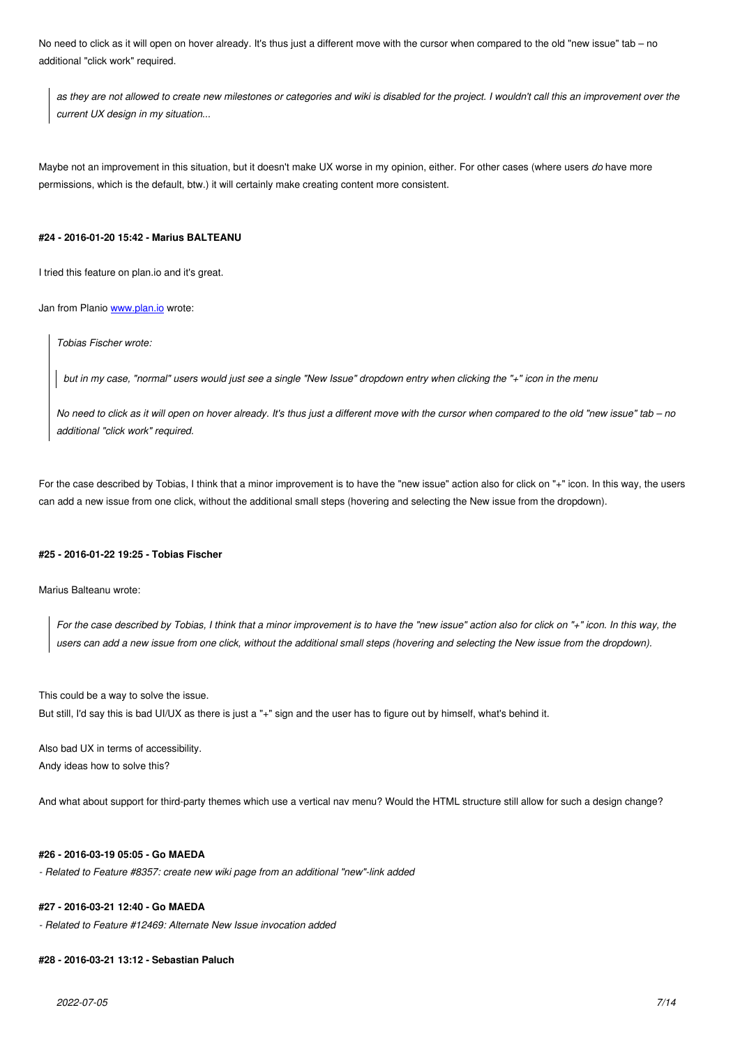*as they are not allowed to create new milestones or categories and wiki is disabled for the project. I wouldn't call this an improvement over the current UX design in my situation...*

Maybe not an improvement in this situation, but it doesn't make UX worse in my opinion, either. For other cases (where users *do* have more permissions, which is the default, btw.) it will certainly make creating content more consistent.

### **#24 - 2016-01-20 15:42 - Marius BALTEANU**

I tried this feature on plan.io and it's great.

Jan from Planio www.plan.io wrote:

*Tobias Fischer wrote:*

*but in my [case, "norma](http://www.plan.io)l" users would just see a single "New Issue" dropdown entry when clicking the "+" icon in the menu*

*No need to click as it will open on hover already. It's thus just a different move with the cursor when compared to the old "new issue" tab – no additional "click work" required.*

For the case described by Tobias, I think that a minor improvement is to have the "new issue" action also for click on "+" icon. In this way, the users can add a new issue from one click, without the additional small steps (hovering and selecting the New issue from the dropdown).

### **#25 - 2016-01-22 19:25 - Tobias Fischer**

Marius Balteanu wrote:

*For the case described by Tobias, I think that a minor improvement is to have the "new issue" action also for click on "+" icon. In this way, the users can add a new issue from one click, without the additional small steps (hovering and selecting the New issue from the dropdown).*

This could be a way to solve the issue.

But still, I'd say this is bad UI/UX as there is just a "+" sign and the user has to figure out by himself, what's behind it.

Also bad UX in terms of accessibility. Andy ideas how to solve this?

And what about support for third-party themes which use a vertical nav menu? Would the HTML structure still allow for such a design change?

### **#26 - 2016-03-19 05:05 - Go MAEDA**

*- Related to Feature #8357: create new wiki page from an additional "new"-link added*

# **#27 - 2016-03-21 12:40 - Go MAEDA**

*- Related to Feature #12469: Alternate New Issue invocation added*

### **#28 - 2016-03-21 13:12 - Sebastian Paluch**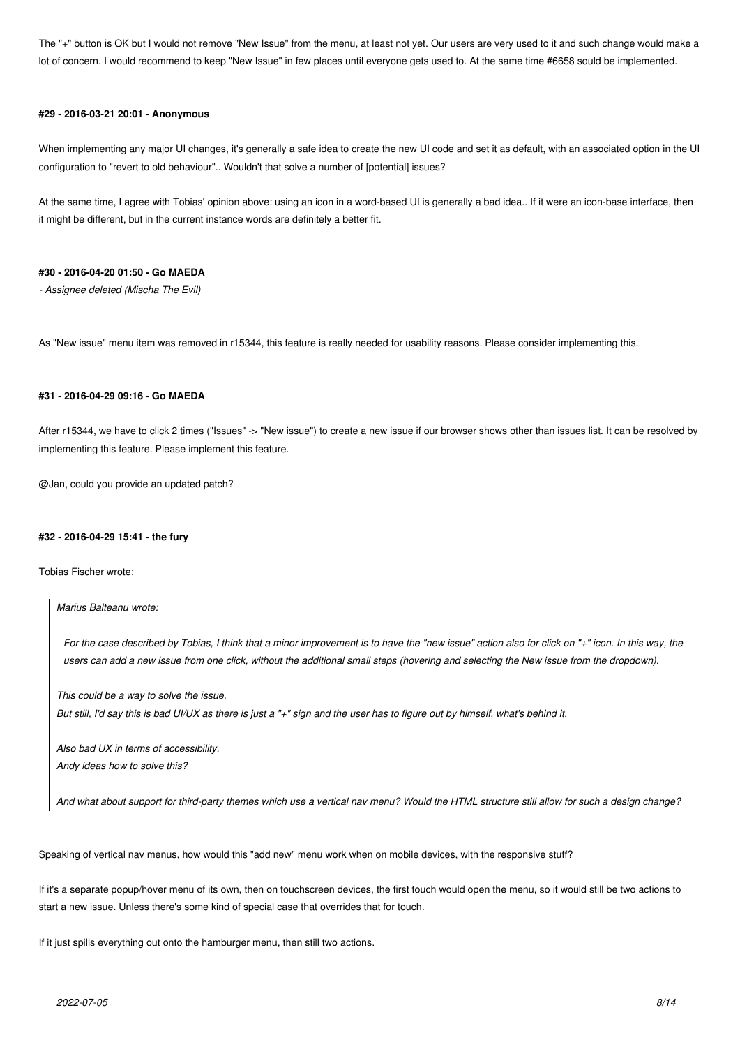The "+" button is OK but I would not remove "New Issue" from the menu, at least not yet. Our users are very used to it and such change would make a lot of concern. I would recommend to keep "New Issue" in few places until everyone gets used to. At the same time #6658 sould be implemented.

### **#29 - 2016-03-21 20:01 - Anonymous**

When implementing any major UI changes, it's generally a safe idea to create the new UI code and set it as default, with an associated option in the UI configuration to "revert to old behaviour".. Wouldn't that solve a number of [potential] issues?

At the same time, I agree with Tobias' opinion above: using an icon in a word-based UI is generally a bad idea.. If it were an icon-base interface, then it might be different, but in the current instance words are definitely a better fit.

### **#30 - 2016-04-20 01:50 - Go MAEDA**

*- Assignee deleted (Mischa The Evil)*

As "New issue" menu item was removed in r15344, this feature is really needed for usability reasons. Please consider implementing this.

# **#31 - 2016-04-29 09:16 - Go MAEDA**

After r15344, we have to click 2 times ("Issues" -> "New issue") to create a new issue if our browser shows other than issues list. It can be resolved by implementing this feature. Please implement this feature.

@Jan, could you provide an updated patch?

### **#32 - 2016-04-29 15:41 - the fury**

Tobias Fischer wrote:

*Marius Balteanu wrote:*

*For the case described by Tobias, I think that a minor improvement is to have the "new issue" action also for click on "+" icon. In this way, the users can add a new issue from one click, without the additional small steps (hovering and selecting the New issue from the dropdown).*

*This could be a way to solve the issue. But still, I'd say this is bad UI/UX as there is just a "+" sign and the user has to figure out by himself, what's behind it.*

*Also bad UX in terms of accessibility. Andy ideas how to solve this?*

*And what about support for third-party themes which use a vertical nav menu? Would the HTML structure still allow for such a design change?*

Speaking of vertical nav menus, how would this "add new" menu work when on mobile devices, with the responsive stuff?

If it's a separate popup/hover menu of its own, then on touchscreen devices, the first touch would open the menu, so it would still be two actions to start a new issue. Unless there's some kind of special case that overrides that for touch.

If it just spills everything out onto the hamburger menu, then still two actions.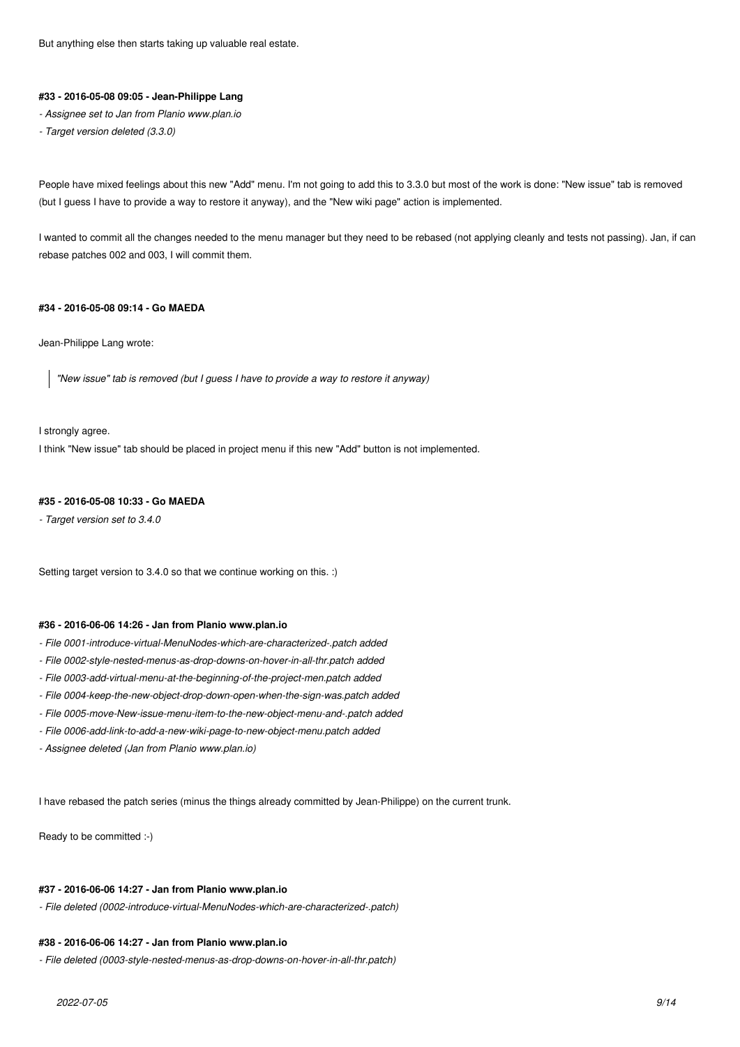But anything else then starts taking up valuable real estate.

# **#33 - 2016-05-08 09:05 - Jean-Philippe Lang**

- *Assignee set to Jan from Planio www.plan.io*
- *Target version deleted (3.3.0)*

People have mixed feelings about this new "Add" menu. I'm not going to add this to 3.3.0 but most of the work is done: "New issue" tab is removed (but I guess I have to provide a way to restore it anyway), and the "New wiki page" action is implemented.

I wanted to commit all the changes needed to the menu manager but they need to be rebased (not applying cleanly and tests not passing). Jan, if can rebase patches 002 and 003, I will commit them.

# **#34 - 2016-05-08 09:14 - Go MAEDA**

Jean-Philippe Lang wrote:

*"New issue" tab is removed (but I guess I have to provide a way to restore it anyway)*

I strongly agree.

I think "New issue" tab should be placed in project menu if this new "Add" button is not implemented.

### **#35 - 2016-05-08 10:33 - Go MAEDA**

*- Target version set to 3.4.0*

Setting target version to 3.4.0 so that we continue working on this. :)

# **#36 - 2016-06-06 14:26 - Jan from Planio www.plan.io**

- *File 0001-introduce-virtual-MenuNodes-which-are-characterized-.patch added*
- *File 0002-style-nested-menus-as-drop-downs-on-hover-in-all-thr.patch added*
- *File 0003-add-virtual-menu-at-the-beginning-of-the-project-men.patch added*
- *File 0004-keep-the-new-object-drop-down-open-when-the-sign-was.patch added*
- *File 0005-move-New-issue-menu-item-to-the-new-object-menu-and-.patch added*
- *File 0006-add-link-to-add-a-new-wiki-page-to-new-object-menu.patch added*
- *Assignee deleted (Jan from Planio www.plan.io)*

I have rebased the patch series (minus the things already committed by Jean-Philippe) on the current trunk.

Ready to be committed :-)

### **#37 - 2016-06-06 14:27 - Jan from Planio www.plan.io**

*- File deleted (0002-introduce-virtual-MenuNodes-which-are-characterized-.patch)*

#### **#38 - 2016-06-06 14:27 - Jan from Planio www.plan.io**

*- File deleted (0003-style-nested-menus-as-drop-downs-on-hover-in-all-thr.patch)*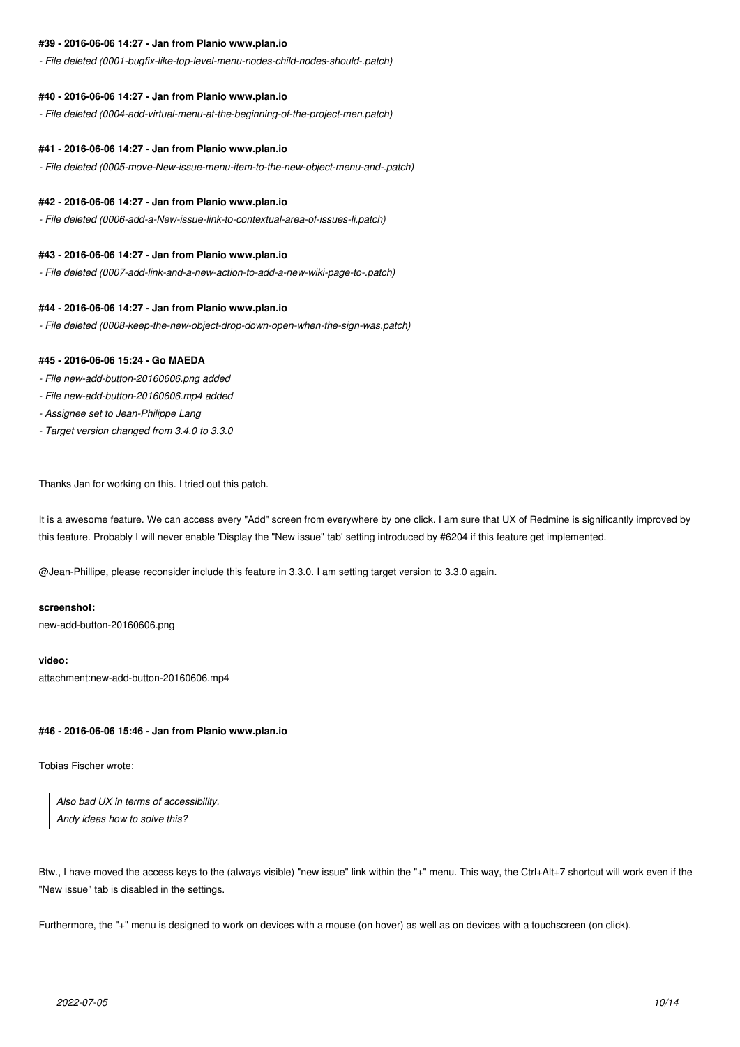### **#39 - 2016-06-06 14:27 - Jan from Planio www.plan.io**

*- File deleted (0001-bugfix-like-top-level-menu-nodes-child-nodes-should-.patch)*

#### **#40 - 2016-06-06 14:27 - Jan from Planio www.plan.io**

*- File deleted (0004-add-virtual-menu-at-the-beginning-of-the-project-men.patch)*

#### **#41 - 2016-06-06 14:27 - Jan from Planio www.plan.io**

*- File deleted (0005-move-New-issue-menu-item-to-the-new-object-menu-and-.patch)*

### **#42 - 2016-06-06 14:27 - Jan from Planio www.plan.io**

*- File deleted (0006-add-a-New-issue-link-to-contextual-area-of-issues-li.patch)*

### **#43 - 2016-06-06 14:27 - Jan from Planio www.plan.io**

*- File deleted (0007-add-link-and-a-new-action-to-add-a-new-wiki-page-to-.patch)*

### **#44 - 2016-06-06 14:27 - Jan from Planio www.plan.io**

*- File deleted (0008-keep-the-new-object-drop-down-open-when-the-sign-was.patch)*

### **#45 - 2016-06-06 15:24 - Go MAEDA**

- *File new-add-button-20160606.png added*
- *File new-add-button-20160606.mp4 added*
- *Assignee set to Jean-Philippe Lang*
- *Target version changed from 3.4.0 to 3.3.0*

Thanks Jan for working on this. I tried out this patch.

It is a awesome feature. We can access every "Add" screen from everywhere by one click. I am sure that UX of Redmine is significantly improved by this feature. Probably I will never enable 'Display the "New issue" tab' setting introduced by #6204 if this feature get implemented.

@Jean-Phillipe, please reconsider include this feature in 3.3.0. I am setting target version to 3.3.0 again.

# **screenshot:**

new-add-button-20160606.png

# **video:**

attachment:new-add-button-20160606.mp4

### **#46 - 2016-06-06 15:46 - Jan from Planio www.plan.io**

Tobias Fischer wrote:

*Also bad UX in terms of accessibility. Andy ideas how to solve this?*

Btw., I have moved the access keys to the (always visible) "new issue" link within the "+" menu. This way, the Ctrl+Alt+7 shortcut will work even if the "New issue" tab is disabled in the settings.

Furthermore, the "+" menu is designed to work on devices with a mouse (on hover) as well as on devices with a touchscreen (on click).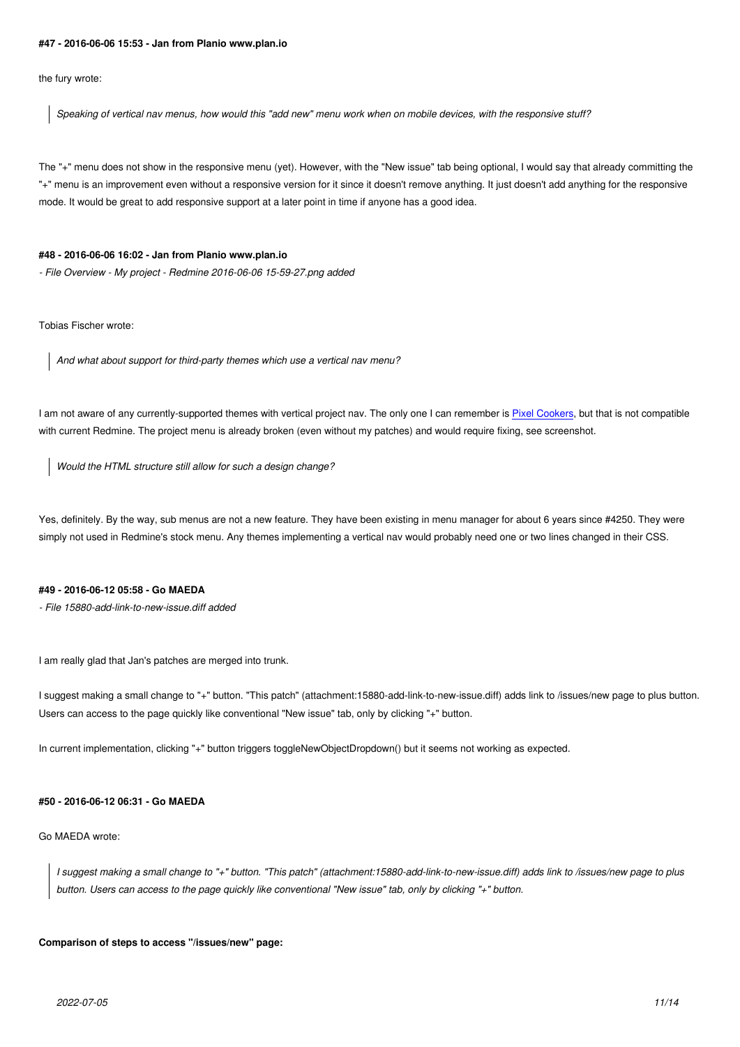the fury wrote:

*Speaking of vertical nav menus, how would this "add new" menu work when on mobile devices, with the responsive stuff?*

The "+" menu does not show in the responsive menu (yet). However, with the "New issue" tab being optional, I would say that already committing the "+" menu is an improvement even without a responsive version for it since it doesn't remove anything. It just doesn't add anything for the responsive mode. It would be great to add responsive support at a later point in time if anyone has a good idea.

#### **#48 - 2016-06-06 16:02 - Jan from Planio www.plan.io**

*- File Overview - My project - Redmine 2016-06-06 15-59-27.png added*

Tobias Fischer wrote:

*And what about support for third-party themes which use a vertical nav menu?*

I am not aware of any currently-supported themes with vertical project nav. The only one I can remember is Pixel Cookers, but that is not compatible with current Redmine. The project menu is already broken (even without my patches) and would require fixing, see screenshot.

*Would the HTML structure still allow for such a design change?*

Yes, definitely. By the way, sub menus are not a new feature. They have been existing in menu manager for about 6 years since #4250. They were simply not used in Redmine's stock menu. Any themes implementing a vertical nav would probably need one or two lines changed in their CSS.

### **#49 - 2016-06-12 05:58 - Go MAEDA**

*- File 15880-add-link-to-new-issue.diff added*

I am really glad that Jan's patches are merged into trunk.

I suggest making a small change to "+" button. "This patch" (attachment:15880-add-link-to-new-issue.diff) adds link to /issues/new page to plus button. Users can access to the page quickly like conventional "New issue" tab, only by clicking "+" button.

In current implementation, clicking "+" button triggers toggleNewObjectDropdown() but it seems not working as expected.

### **#50 - 2016-06-12 06:31 - Go MAEDA**

Go MAEDA wrote:

*I suggest making a small change to "+" button. "This patch" (attachment:15880-add-link-to-new-issue.diff) adds link to /issues/new page to plus button. Users can access to the page quickly like conventional "New issue" tab, only by clicking "+" button.*

### **Comparison of steps to access "/issues/new" page:**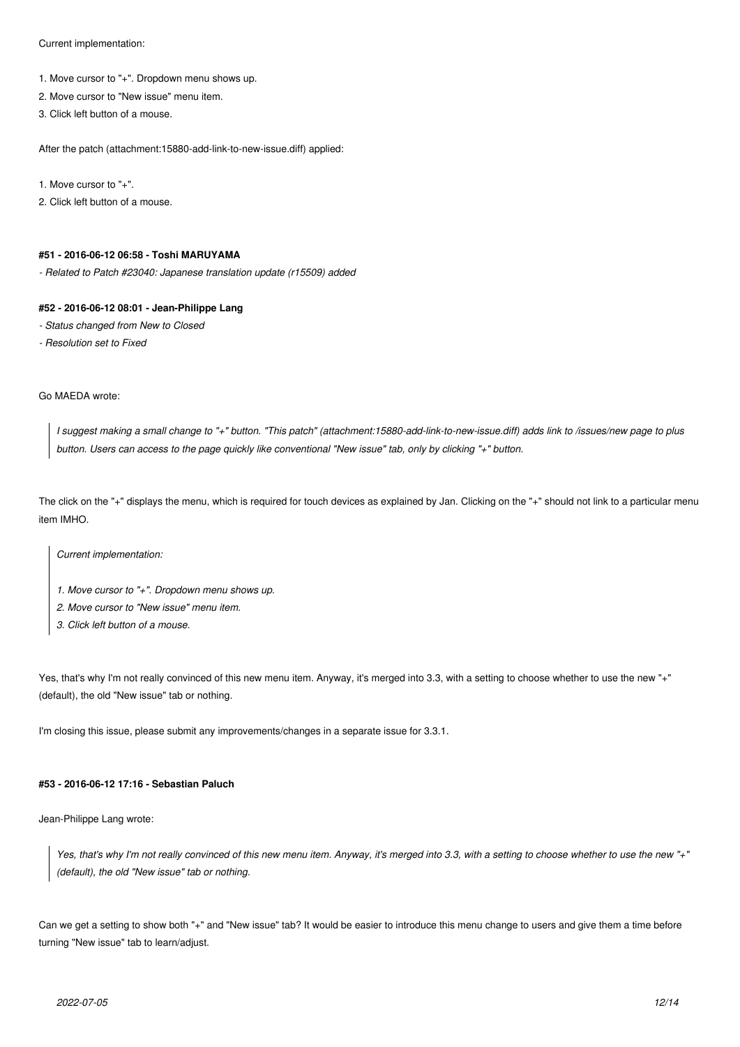Current implementation:

- 1. Move cursor to "+". Dropdown menu shows up.
- 2. Move cursor to "New issue" menu item.
- 3. Click left button of a mouse.

After the patch (attachment:15880-add-link-to-new-issue.diff) applied:

1. Move cursor to "+".

2. Click left button of a mouse.

### **#51 - 2016-06-12 06:58 - Toshi MARUYAMA**

*- Related to Patch #23040: Japanese translation update (r15509) added*

# **#52 - 2016-06-12 08:01 - Jean-Philippe Lang**

- *Status changed from New to Closed*
- *Resolution set to Fixed*

# Go MAEDA wrote:

*I suggest making a small change to "+" button. "This patch" (attachment:15880-add-link-to-new-issue.diff) adds link to /issues/new page to plus button. Users can access to the page quickly like conventional "New issue" tab, only by clicking "+" button.*

The click on the "+" displays the menu, which is required for touch devices as explained by Jan. Clicking on the "+" should not link to a particular menu item IMHO.

*Current implementation:*

- *1. Move cursor to "+". Dropdown menu shows up.*
- *2. Move cursor to "New issue" menu item.*
- *3. Click left button of a mouse.*

Yes, that's why I'm not really convinced of this new menu item. Anyway, it's merged into 3.3, with a setting to choose whether to use the new "+" (default), the old "New issue" tab or nothing.

I'm closing this issue, please submit any improvements/changes in a separate issue for 3.3.1.

# **#53 - 2016-06-12 17:16 - Sebastian Paluch**

Jean-Philippe Lang wrote:

*Yes, that's why I'm not really convinced of this new menu item. Anyway, it's merged into 3.3, with a setting to choose whether to use the new "+" (default), the old "New issue" tab or nothing.*

Can we get a setting to show both "+" and "New issue" tab? It would be easier to introduce this menu change to users and give them a time before turning "New issue" tab to learn/adjust.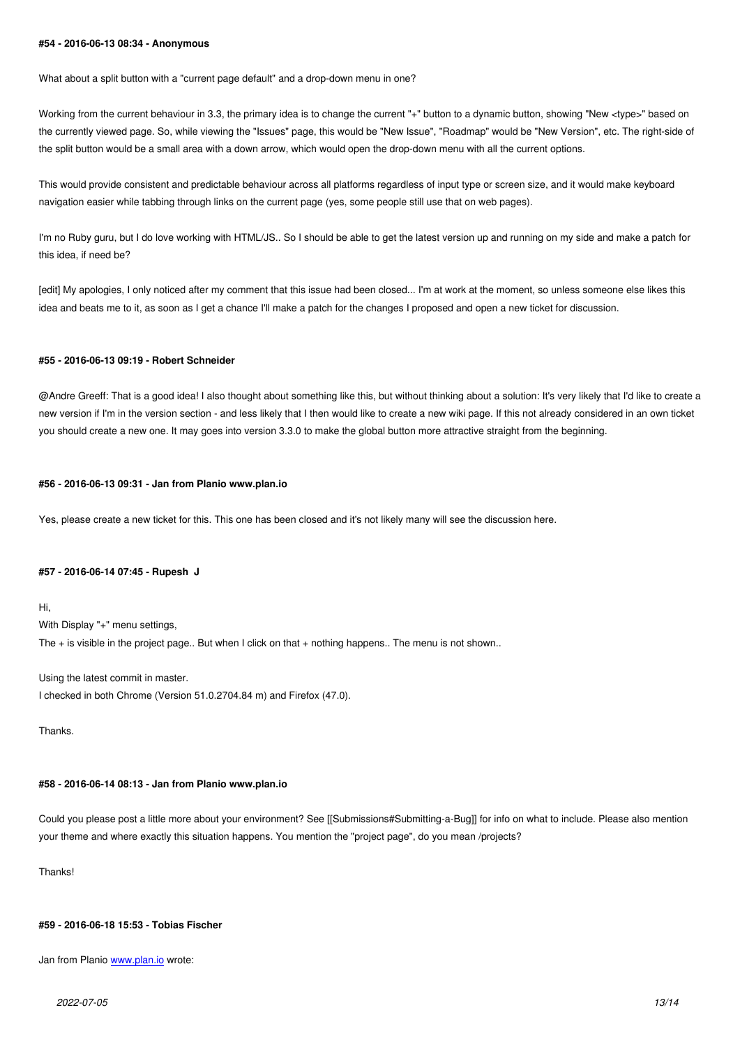What about a split button with a "current page default" and a drop-down menu in one?

Working from the current behaviour in 3.3, the primary idea is to change the current "+" button to a dynamic button, showing "New <type>" based on the currently viewed page. So, while viewing the "Issues" page, this would be "New Issue", "Roadmap" would be "New Version", etc. The right-side of the split button would be a small area with a down arrow, which would open the drop-down menu with all the current options.

This would provide consistent and predictable behaviour across all platforms regardless of input type or screen size, and it would make keyboard navigation easier while tabbing through links on the current page (yes, some people still use that on web pages).

I'm no Ruby guru, but I do love working with HTML/JS.. So I should be able to get the latest version up and running on my side and make a patch for this idea, if need be?

[edit] My apologies, I only noticed after my comment that this issue had been closed... I'm at work at the moment, so unless someone else likes this idea and beats me to it, as soon as I get a chance I'll make a patch for the changes I proposed and open a new ticket for discussion.

#### **#55 - 2016-06-13 09:19 - Robert Schneider**

@Andre Greeff: That is a good idea! I also thought about something like this, but without thinking about a solution: It's very likely that I'd like to create a new version if I'm in the version section - and less likely that I then would like to create a new wiki page. If this not already considered in an own ticket you should create a new one. It may goes into version 3.3.0 to make the global button more attractive straight from the beginning.

#### **#56 - 2016-06-13 09:31 - Jan from Planio www.plan.io**

Yes, please create a new ticket for this. This one has been closed and it's not likely many will see the discussion here.

### **#57 - 2016-06-14 07:45 - Rupesh J**

Hi,

With Display "+" menu settings, The + is visible in the project page.. But when I click on that + nothing happens.. The menu is not shown..

Using the latest commit in master. I checked in both Chrome (Version 51.0.2704.84 m) and Firefox (47.0).

Thanks.

#### **#58 - 2016-06-14 08:13 - Jan from Planio www.plan.io**

Could you please post a little more about your environment? See [[Submissions#Submitting-a-Bug]] for info on what to include. Please also mention your theme and where exactly this situation happens. You mention the "project page", do you mean /projects?

Thanks!

### **#59 - 2016-06-18 15:53 - Tobias Fischer**

Jan from Planio www.plan.io wrote: